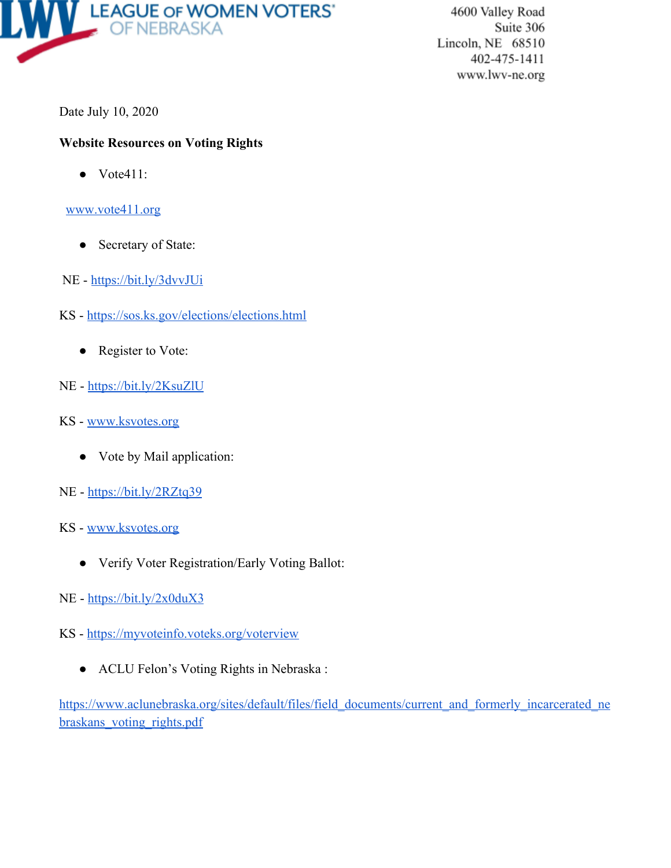

4600 Valley Road Suite 306 Lincoln, NE 68510 402-475-1411 www.lwv-ne.org

### Date July 10, 2020

### **Website Resources on Voting Rights**

● Vote411:

#### [www.vote411.org](http://www.vote411.org/)

- Secretary of State:
- NE <https://bit.ly/3dvvJUi>
- KS <https://sos.ks.gov/elections/elections.html>
	- Register to Vote:
- NE <https://bit.ly/2KsuZlU>
- KS [www.ksvotes.org](http://www.ksvotes.org/)
	- Vote by Mail application:
- NE <https://bit.ly/2RZtq39>
- KS [www.ksvotes.org](http://www.ksvotes.org/)
	- Verify Voter Registration/Early Voting Ballot:
- NE <https://bit.ly/2x0duX3>
- KS <https://myvoteinfo.voteks.org/voterview>
	- ACLU Felon's Voting Rights in Nebraska :

[https://www.aclunebraska.org/sites/default/files/field\\_documents/current\\_and\\_formerly\\_incarcerated\\_ne](https://www.aclunebraska.org/sites/default/files/field_documents/current_and_formerly_incarcerated_nebraskans_voting_rights.pdf) [braskans\\_voting\\_rights.pdf](https://www.aclunebraska.org/sites/default/files/field_documents/current_and_formerly_incarcerated_nebraskans_voting_rights.pdf)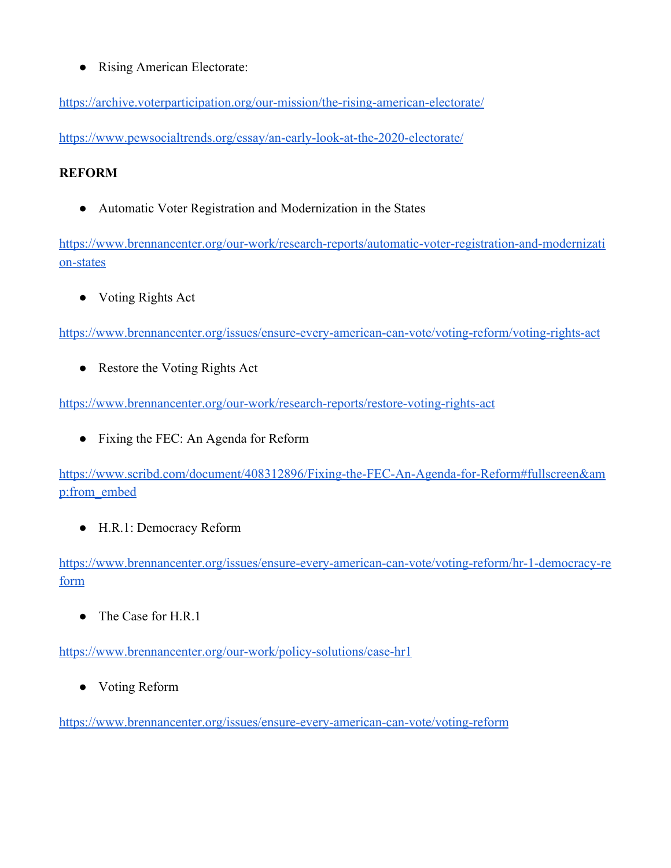● Rising American Electorate:

<https://archive.voterparticipation.org/our-mission/the-rising-american-electorate/>

<https://www.pewsocialtrends.org/essay/an-early-look-at-the-2020-electorate/>

# **REFORM**

● Automatic Voter Registration and Modernization in the States

[https://www.brennancenter.org/our-work/research-reports/automatic-voter-registration-and-modernizati](https://www.brennancenter.org/our-work/research-reports/automatic-voter-registration-and-modernization-states) [on-states](https://www.brennancenter.org/our-work/research-reports/automatic-voter-registration-and-modernization-states)

● Voting Rights Act

<https://www.brennancenter.org/issues/ensure-every-american-can-vote/voting-reform/voting-rights-act>

• Restore the Voting Rights Act

<https://www.brennancenter.org/our-work/research-reports/restore-voting-rights-act>

● Fixing the FEC: An Agenda for Reform

[https://www.scribd.com/document/408312896/Fixing-the-FEC-An-Agenda-for-Reform#fullscreen&am](https://www.scribd.com/document/408312896/Fixing-the-FEC-An-Agenda-for-Reform#fullscreen&from_embed) [p;from\\_embed](https://www.scribd.com/document/408312896/Fixing-the-FEC-An-Agenda-for-Reform#fullscreen&from_embed)

● H.R.1: Democracy Reform

[https://www.brennancenter.org/issues/ensure-every-american-can-vote/voting-reform/hr-1-democracy-re](https://www.brennancenter.org/issues/ensure-every-american-can-vote/voting-reform/hr-1-democracy-reform) [form](https://www.brennancenter.org/issues/ensure-every-american-can-vote/voting-reform/hr-1-democracy-reform)

● The Case for H.R.1

<https://www.brennancenter.org/our-work/policy-solutions/case-hr1>

● Voting Reform

<https://www.brennancenter.org/issues/ensure-every-american-can-vote/voting-reform>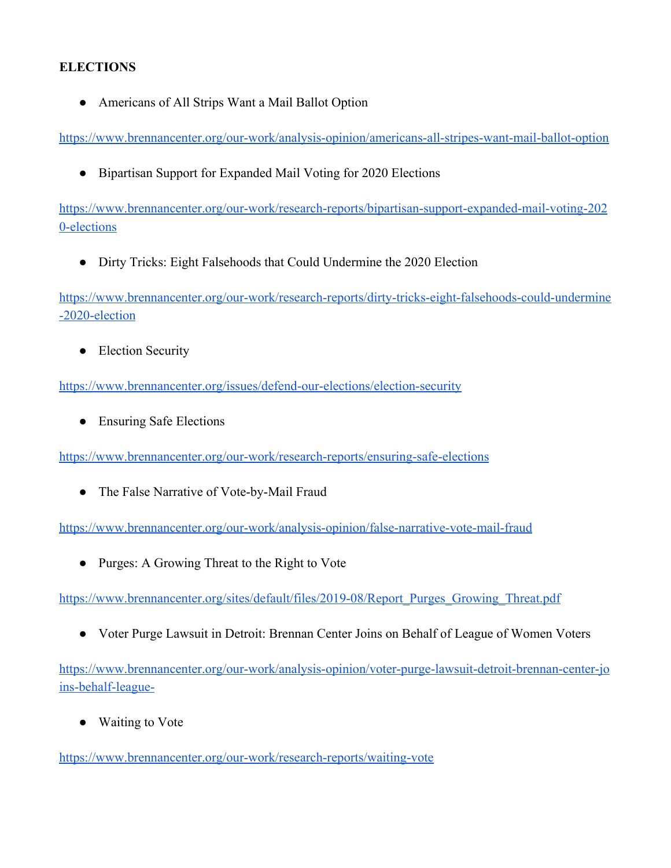# **ELECTIONS**

● Americans of All Strips Want a Mail Ballot Option

<https://www.brennancenter.org/our-work/analysis-opinion/americans-all-stripes-want-mail-ballot-option>

● Bipartisan Support for Expanded Mail Voting for 2020 Elections

[https://www.brennancenter.org/our-work/research-reports/bipartisan-support-expanded-mail-voting-202](https://www.brennancenter.org/our-work/research-reports/bipartisan-support-expanded-mail-voting-2020-elections) [0-elections](https://www.brennancenter.org/our-work/research-reports/bipartisan-support-expanded-mail-voting-2020-elections)

• Dirty Tricks: Eight Falsehoods that Could Undermine the 2020 Election

[https://www.brennancenter.org/our-work/research-reports/dirty-tricks-eight-falsehoods-could-undermine](https://www.brennancenter.org/our-work/research-reports/dirty-tricks-eight-falsehoods-could-undermine-2020-election) [-2020-election](https://www.brennancenter.org/our-work/research-reports/dirty-tricks-eight-falsehoods-could-undermine-2020-election)

• Election Security

<https://www.brennancenter.org/issues/defend-our-elections/election-security>

• Ensuring Safe Elections

<https://www.brennancenter.org/our-work/research-reports/ensuring-safe-elections>

● The False Narrative of Vote-by-Mail Fraud

<https://www.brennancenter.org/our-work/analysis-opinion/false-narrative-vote-mail-fraud>

• Purges: A Growing Threat to the Right to Vote

[https://www.brennancenter.org/sites/default/files/2019-08/Report\\_Purges\\_Growing\\_Threat.pdf](https://www.brennancenter.org/sites/default/files/2019-08/Report_Purges_Growing_Threat.pdf)

● Voter Purge Lawsuit in Detroit: Brennan Center Joins on Behalf of League of Women Voters

[https://www.brennancenter.org/our-work/analysis-opinion/voter-purge-lawsuit-detroit-brennan-center-jo](https://www.brennancenter.org/our-work/analysis-opinion/voter-purge-lawsuit-detroit-brennan-center-joins-behalf-league-) [ins-behalf-league-](https://www.brennancenter.org/our-work/analysis-opinion/voter-purge-lawsuit-detroit-brennan-center-joins-behalf-league-)

● Waiting to Vote

<https://www.brennancenter.org/our-work/research-reports/waiting-vote>